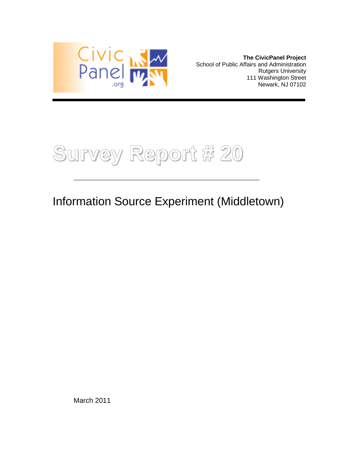

**The CivicPanel Project** School of Public Affairs and Administration Rutgers University 111 Washington Street Newark, NJ 07102



Information Source Experiment (Middletown)

\_\_\_\_\_\_\_\_\_\_\_\_\_\_\_\_\_\_\_\_\_\_\_\_\_\_\_\_\_\_\_\_\_\_\_\_\_\_\_\_\_\_\_\_\_\_\_\_\_\_\_\_\_

March 2011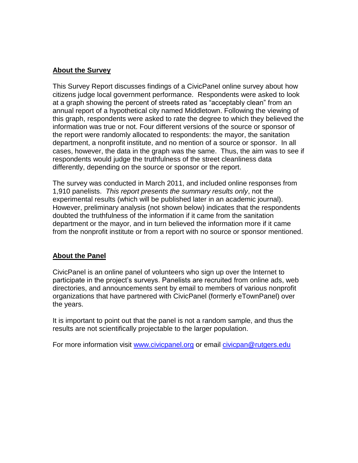# **About the Survey**

This Survey Report discusses findings of a CivicPanel online survey about how citizens judge local government performance. Respondents were asked to look at a graph showing the percent of streets rated as "acceptably clean" from an annual report of a hypothetical city named Middletown. Following the viewing of this graph, respondents were asked to rate the degree to which they believed the information was true or not. Four different versions of the source or sponsor of the report were randomly allocated to respondents: the mayor, the sanitation department, a nonprofit institute, and no mention of a source or sponsor. In all cases, however, the data in the graph was the same. Thus, the aim was to see if respondents would judge the truthfulness of the street cleanliness data differently, depending on the source or sponsor or the report.

The survey was conducted in March 2011, and included online responses from 1,910 panelists. *This report presents the summary results only*, not the experimental results (which will be published later in an academic journal). However, preliminary analysis (not shown below) indicates that the respondents doubted the truthfulness of the information if it came from the sanitation department or the mayor, and in turn believed the information more if it came from the nonprofit institute or from a report with no source or sponsor mentioned.

# **About the Panel**

CivicPanel is an online panel of volunteers who sign up over the Internet to participate in the project's surveys. Panelists are recruited from online ads, web directories, and announcements sent by email to members of various nonprofit organizations that have partnered with CivicPanel (formerly eTownPanel) over the years.

It is important to point out that the panel is not a random sample, and thus the results are not scientifically projectable to the larger population.

For more information visit [www.civicpanel.org](http://www.civicpanel.org/) or email [civicpan@rutgers.edu](mailto:civicpan@rutgers.edu)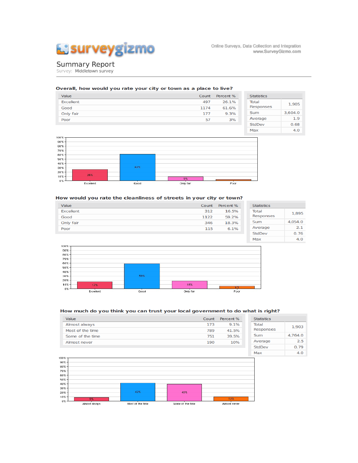

Online Surveys, Data Collection and Integration www.SurveyGizmo.com

# **Summary Report**<br>Survey: Middletown survey

#### Overall, how would you rate your city or town as a place to live?

| Value            | Count | Percent % | <b>Statistics</b> |         |
|------------------|-------|-----------|-------------------|---------|
| <b>Excellent</b> | 497   | 26.1%     | <b>Total</b>      | 1,905   |
| Good             | 1174  | 61.6%     | Responses         |         |
| Only fair        | 177   | 9.3%      | <b>Sum</b>        | 3,604.0 |
| Poor             | 57    | 3%        | Average           | 1.9     |
|                  |       |           | StdDev            | 0.68    |
|                  |       |           | Max               | 4.0     |



#### How would you rate the cleanliness of streets in your city or town?

| Value            | Count | Percent % | <b>Statistics</b> |         |
|------------------|-------|-----------|-------------------|---------|
| <b>Excellent</b> | 312   | 16.5%     | <b>Total</b>      | 1,895   |
| Good             | 1122  | 59.2%     | <b>Responses</b>  |         |
| Only fair        | 346   | 18.3%     | <b>Sum</b>        | 4,054.0 |
| Poor             | 115   | 6.1%      | Average           | 2.1     |
|                  |       |           | <b>StdDev</b>     | 0.76    |
|                  |       |           | Max               | 4.0     |



### How much do you think you can trust your local government to do what is right?

| Value            | Count | Percent % | <b>Statistics</b> |         |
|------------------|-------|-----------|-------------------|---------|
| Almost always    | 173   | 9.1%      | <b>Total</b>      | 1,903   |
| Most of the time | 789   | 41.5%     | Responses         |         |
| Some of the time | 751   | 39.5%     | <b>Sum</b>        | 4,764.0 |
| Almost never     | 190   | 10%       | Average           | 2.5     |
|                  |       |           | <b>StdDev</b>     | 0.79    |
|                  |       |           | Max               | 4.0     |
| COOL.            |       |           |                   |         |

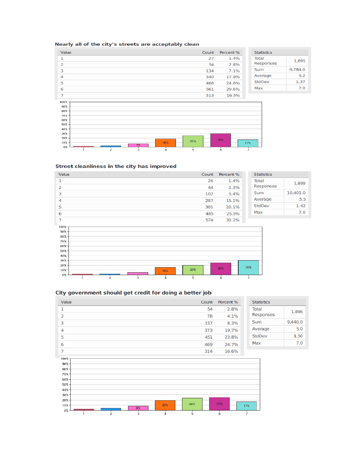## Nearly all of the city's streets are acceptably clean

| Value                 | Count | Percent % | <b>Statistics</b> |         |
|-----------------------|-------|-----------|-------------------|---------|
|                       | 27    | 1.4%      | <b>Total</b>      | 1,895   |
| 2                     | 54    | 2.8%      | Responses         |         |
| 3                     | 134   | 7.1%      | Sum               | 9,784.0 |
| 4                     | 340   | 17.9%     | Average           | 5.2     |
| 5                     | 466   | 24.6%     | StdDev            | 1.37    |
| 6                     | 561   | 29.6%     | Max               | 7.0     |
| ⇁                     | 313   | 16.5%     |                   |         |
| $100\%$ $\rightarrow$ |       |           |                   |         |



## Street cleanliness in the city has improved





### City government should get credit for doing a better job

| Value                                                                                                     |              | Count | Percent % | <b>Statistics</b> |         |
|-----------------------------------------------------------------------------------------------------------|--------------|-------|-----------|-------------------|---------|
| 1                                                                                                         |              | 54    | 2.8%      | <b>Total</b>      | 1,896   |
| $\overline{2}$                                                                                            |              | 78    | 4.1%      | Responses         |         |
| 3                                                                                                         |              | 157   | 8.3%      | Sum               | 9,440.0 |
| 4                                                                                                         |              | 373   | 19.7%     | Average           | 5.0     |
| 5                                                                                                         |              | 451   | 23.8%     | <b>StdDev</b>     | 1.50    |
| 6                                                                                                         |              | 469   | 24.7%     | Max               | 7.0     |
| 7                                                                                                         |              | 314   | 16.6%     |                   |         |
| 100%<br>$90% -$<br>$80% -$<br>$70% -$<br>60% -<br>$50% -$<br>40% -<br>30%-<br>$20% -$<br>$10% -$<br>$0\%$ | 20%<br>$8\%$ | 24%   | 25%       | 17%               |         |
| $\frac{1}{2}$                                                                                             | š.<br>4      | š.    | 6         | 7                 |         |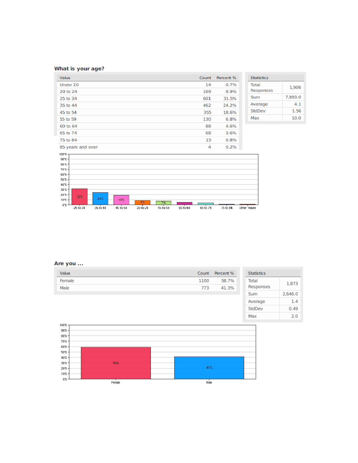## What is your age?

| Value             | Count     | Percent %         | <b>Statistics</b> |         |
|-------------------|-----------|-------------------|-------------------|---------|
| Under 20          | 14        | 0.7%              | <b>Total</b>      | 1,906   |
| 20 to 24          | 169       | 8.9%              | Responses         |         |
| 25 to 34          | 601       | 31.5%             | Sum               | 7,893.0 |
| 35 to 44          | 462       | 24.2%             | Average           | 4.1     |
| 45 to 54          | 355       | 18.6%             | StdDev            | 1.56    |
| 55 to 59          | 130       | 6.8%              | Max               | 10.0    |
| 60 to 64          | 88        | 4.6%              |                   |         |
| 65 to 74          | 68        | 3.6%              |                   |         |
| 75 to 84          | 15        | 0.8%              |                   |         |
| 85 years and over | $\Lambda$ | 0.29 <sub>L</sub> |                   |         |



## Are you ...

| Value  | Count | Percent % | <b>Statistics</b> |         |
|--------|-------|-----------|-------------------|---------|
| Female | 1100  | 58.7%     | <b>Total</b>      | 1,873   |
| Male   | 773   | 41.3%     | Responses         |         |
|        |       |           | <b>Sum</b>        | 2,646.0 |
|        |       |           | Average           | 1.4     |
|        |       |           | <b>StdDev</b>     | 0.49    |
|        |       |           | Max               | 2.0     |
|        |       |           |                   |         |

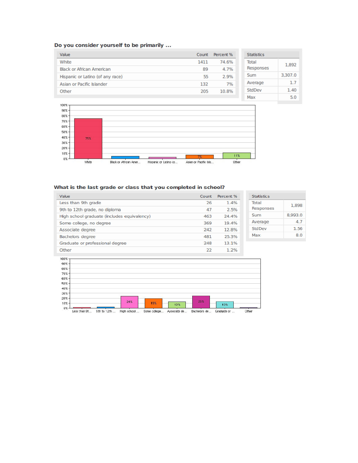## Do you consider yourself to be primarily ...

| Value                            | Count | Percent % | <b>Statistics</b> |         |
|----------------------------------|-------|-----------|-------------------|---------|
| White                            | 1411  | 74.6%     | <b>Total</b>      | 1,892   |
| <b>Black or African American</b> | 89    | 4.7%      | Responses         |         |
| Hispanic or Latino (of any race) | 55    | 2.9%      | Sum               | 3,307.0 |
| Asian or Pacific Islander        | 132   | 7%        | Average           | 1.7     |
| Other                            | 205   | 10.8%     | <b>StdDev</b>     | 1.40    |
|                                  |       |           | Max               | 5.0     |



## What is the last grade or class that you completed in school?

| Value                                       | Count | Percent % | <b>Statistics</b> |         |
|---------------------------------------------|-------|-----------|-------------------|---------|
| Less than 9th grade                         | 26    | 1.4%      | <b>Total</b>      | 1,898   |
| 9th to 12th grade, no diploma               | 47    | 2.5%      | Responses         |         |
| High school graduate (includes equivalency) | 463   | 24.4%     | Sum               | 8,993.0 |
| Some college, no degree                     | 369   | 19.4%     | Average           | 4.7     |
| Associate degree                            | 242   | 12.8%     | <b>StdDev</b>     | 1.56    |
| Bachelors degree                            | 481   | 25.3%     | Max               | 8.0     |
| Graduate or professional degree             | 248   | 13.1%     |                   |         |
| Other                                       | 22    | 1.2%      |                   |         |

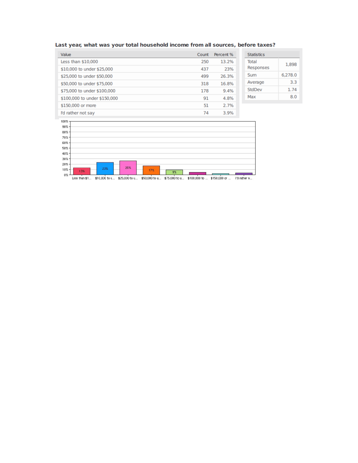|  |  |  |  |  |  | Last year, what was your total household income from all sources, before taxes? |  |  |  |  |  |  |
|--|--|--|--|--|--|---------------------------------------------------------------------------------|--|--|--|--|--|--|
|--|--|--|--|--|--|---------------------------------------------------------------------------------|--|--|--|--|--|--|

| Value                        | Count | Percent % | <b>Statistics</b> |         |
|------------------------------|-------|-----------|-------------------|---------|
| Less than \$10,000           | 250   | 13.2%     | Total             | 1,898   |
| \$10,000 to under \$25,000   | 437   | 23%       | Responses         |         |
| \$25,000 to under \$50,000   | 499   | 26.3%     | Sum               | 6,278.0 |
| \$50,000 to under \$75,000   | 318   | 16.8%     | Average           | 3.3     |
| \$75,000 to under \$100,000  | 178   | 9.4%      | StdDev            | 1.74    |
| \$100,000 to under \$150,000 | 91    | 4.8%      | Max               | 8.0     |
| \$150,000 or more            | 51    | 2.7%      |                   |         |
| I'd rather not say           | 74    | 3.9%      |                   |         |



Less than \$1... \$10,000 to u... \$25,000 to u... \$50,000 to u... \$75,000 to u... \$100,000 to ... \$150,000 or ... l'il rather n...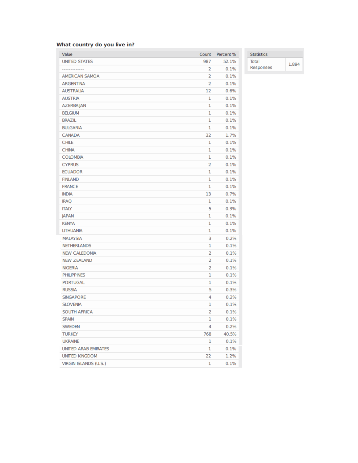## What country do you live in?

| Value                        | Count          | Percent % |
|------------------------------|----------------|-----------|
| <b>UNITED STATES</b>         | 987            | 52.1%     |
|                              | 2              | 0.1%      |
| <b>AMERICAN SAMOA</b>        | $\overline{2}$ | 0.1%      |
| <b>ARGENTINA</b>             | $\overline{2}$ | 0.1%      |
| <b>AUSTRALIA</b>             | 12             | 0.6%      |
| <b>AUSTRIA</b>               | 1              | 0.1%      |
| <b>AZERBAIJAN</b>            | 1              | 0.1%      |
| <b>BELGIUM</b>               | 1              | 0.1%      |
| <b>BRAZIL</b>                | 1              | 0.1%      |
| <b>BULGARIA</b>              | 1              | 0.1%      |
| <b>CANADA</b>                | 32             | 1.7%      |
| <b>CHILE</b>                 | 1              | 0.1%      |
| <b>CHINA</b>                 | 1              | 0.1%      |
| <b>COLOMBIA</b>              | 1              | 0.1%      |
| <b>CYPRUS</b>                | 2              | 0.1%      |
| <b>ECUADOR</b>               | 1              | 0.1%      |
| <b>FINLAND</b>               | 1              | 0.1%      |
| <b>FRANCE</b>                | 1              | 0.1%      |
| <b>INDIA</b>                 | 13             | 0.7%      |
| <b>IRAQ</b>                  | 1              | 0.1%      |
| <b>ITALY</b>                 | 5              | 0.3%      |
| <b>JAPAN</b>                 | 1              | 0.1%      |
| <b>KENYA</b>                 | 1              | 0.1%      |
| <b>LITHUANIA</b>             | 1              | 0.1%      |
| <b>MALAYSIA</b>              | 3              | 0.2%      |
| <b>NETHERLANDS</b>           | 1              | 0.1%      |
| <b>NEW CALEDONIA</b>         | 2              | 0.1%      |
| <b>NEW ZEALAND</b>           | 2              | 0.1%      |
| <b>NIGERIA</b>               | $\overline{2}$ | 0.1%      |
| <b>PHILIPPINES</b>           | 1              | 0.1%      |
| <b>PORTUGAL</b>              | 1              | 0.1%      |
| <b>RUSSIA</b>                | 5              | 0.3%      |
| <b>SINGAPORE</b>             | 4              | 0.2%      |
| <b>SLOVENIA</b>              | 1              | 0.1%      |
| <b>SOUTH AFRICA</b>          | 2              | 0.1%      |
| <b>SPAIN</b>                 | 1              | 0.1%      |
| <b>SWEDEN</b>                | 4              | 0.2%      |
| <b>TURKEY</b>                | 768            | 40.5%     |
| <b>UKRAINE</b>               | 1              | 0.1%      |
| <b>UNITED ARAB EMIRATES</b>  | 1              | 0.1%      |
| <b>UNITED KINGDOM</b>        | 22             | 1.2%      |
| <b>VIRGIN ISLANDS (U.S.)</b> | 1              | 0.1%      |

Statistics **Total** 1,894 Responses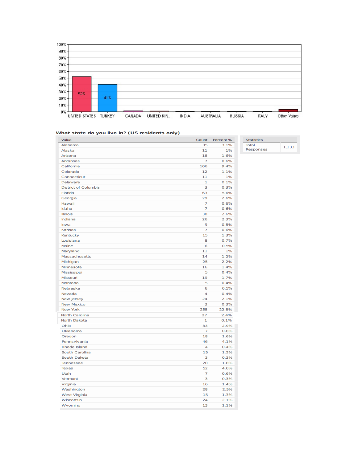

#### What state do you live in? (US residents only)

| Value                       | Count          | Percent % | <b>Statistics</b> |       |
|-----------------------------|----------------|-----------|-------------------|-------|
| Alabama                     | 35             | 3.1%      | <b>Total</b>      | 1,133 |
| Alaska                      | 11             | 1%        | <b>Responses</b>  |       |
| Arizona                     | 18             | 1.6%      |                   |       |
| Arkansas                    | $\overline{7}$ | 0.6%      |                   |       |
| California                  | 106            | 9.4%      |                   |       |
| Colorado                    | 12             | 1.1%      |                   |       |
| Connecticut                 | 11             | 1%        |                   |       |
| <b>Delaware</b>             | ı              | 0.1%      |                   |       |
| <b>District of Columbia</b> | 3              | 0.3%      |                   |       |
| Florida                     | 63             | 5.6%      |                   |       |
| Georgia                     | 29             | 2.6%      |                   |       |
| Hawaii                      | 7              | 0.6%      |                   |       |
| Idaho                       | 7              | 0.6%      |                   |       |
| <b>Illinois</b>             | 30             | 2.6%      |                   |       |
| Indiana                     | 26             | 2.3%      |                   |       |
| lowa                        | 9              | 0.8%      |                   |       |
| Kansas                      | 7              | 0.6%      |                   |       |
| Kentucky                    | 15             | 1.3%      |                   |       |
| Louisiana                   | 8              | 0.7%      |                   |       |
| Maine                       | 6              | 0.5%      |                   |       |
| Maryland                    | 11             | 1%        |                   |       |
| <b>Massachusetts</b>        | 14             | 1.2%      |                   |       |
| Michigan                    | 25             | 2.2%      |                   |       |
| Minnesota                   | 16             | 1.4%      |                   |       |
| Mississippi                 | 5              | 0.4%      |                   |       |
| Missouri                    | 19             | 1.7%      |                   |       |
| Montana                     | 5              | 0.4%      |                   |       |
| Nebraska                    | 6              | 0.5%      |                   |       |
| Nevada                      | 4              | 0.4%      |                   |       |
| New Jersey                  | 24             | 2.1%      |                   |       |
| <b>New Mexico</b>           | 3              | 0.3%      |                   |       |
| New York                    | 258            | 22.8%     |                   |       |
| <b>North Carolina</b>       | 27             | 2.4%      |                   |       |
| North Dakota                | ı              | 0.1%      |                   |       |
| Ohio                        | 33             | 2.9%      |                   |       |
| Oklahoma                    | 7              | 0.6%      |                   |       |
| Oregon                      | 18             | 1.6%      |                   |       |
| Pennsylvania                | 46             | 4.1%      |                   |       |
| Rhode Island                | 4              | 0.4%      |                   |       |
| South Carolina              | 15             | 1.3%      |                   |       |
| South Dakota                | 3              | 0.3%      |                   |       |
| Tennessee                   | 20             | 1.8%      |                   |       |
| <b>Texas</b>                | 52             | 4.6%      |                   |       |
| <b>Utah</b>                 | 7              | 0.6%      |                   |       |
| Vermont                     | 3              | 0.3%      |                   |       |
| Virginia                    | 16             | 1.4%      |                   |       |
| Washington                  | 28             | 2.5%      |                   |       |
| <b>West Virginia</b>        | 15             | 1.3%      |                   |       |
| Wisconsin                   | 24             | 2.1%      |                   |       |
| Wyoming                     | 13             | 1.1%      |                   |       |
|                             |                |           |                   |       |